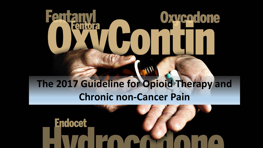# **Oxycedone Fento**

#### **The 2017 Guideline for Opioid Therapy and Chronic non-Cancer Pain**

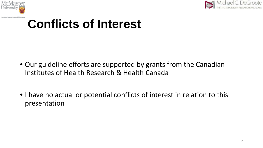



### **Conflicts of Interest**

- Our guideline efforts are supported by grants from the Canadian Institutes of Health Research & Health Canada
- I have no actual or potential conflicts of interest in relation to this presentation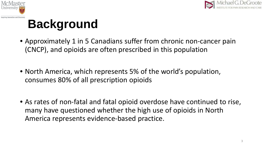



# **Background**

- Approximately 1 in 5 Canadians suffer from chronic non-cancer pain (CNCP), and opioids are often prescribed in this population
- North America, which represents 5% of the world's population, consumes 80% of all prescription opioids
- As rates of non-fatal and fatal opioid overdose have continued to rise, many have questioned whether the high use of opioids in North America represents evidence-based practice.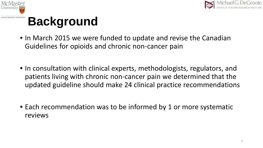





- In March 2015 we were funded to update and revise the Canadian Guidelines for opioids and chronic non-cancer pain
- In consultation with clinical experts, methodologists, regulators, and patients living with chronic non-cancer pain we determined that the updated guideline should make 24 clinical practice recommendations
- Each recommendation was to be informed by 1 or more systematic reviews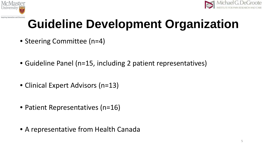



# **Guideline Development Organization**

- Steering Committee (n=4)
- Guideline Panel (n=15, including 2 patient representatives)
- Clinical Expert Advisors (n=13)
- Patient Representatives (n=16)
- A representative from Health Canada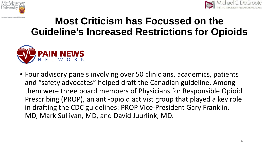



#### **Most Criticism has Focussed on the Guideline's Increased Restrictions for Opioids**



• Four advisory panels involving over 50 clinicians, academics, patients and "safety advocates" helped draft the Canadian guideline. Among them were three board members of Physicians for Responsible Opioid Prescribing (PROP), an anti-opioid activist group that played a key role in drafting the CDC guidelines: PROP Vice-President Gary Franklin, MD, Mark Sullivan, MD, and David Juurlink, MD.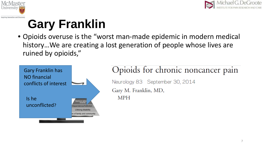



### **Gary Franklin**

• Opioids overuse is the "worst man-made epidemic in modern medical history…We are creating a lost generation of people whose lives are ruined by opioids,"



#### Opioids for chronic noncancer pain Neurology 83 September 30, 2014 Gary M. Franklin, MD, **MPH**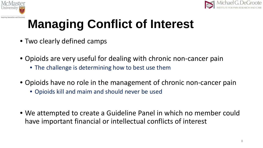



# **Managing Conflict of Interest**

- Two clearly defined camps
- Opioids are very useful for dealing with chronic non-cancer pain
	- The challenge is determining how to best use them
- Opioids have no role in the management of chronic non-cancer pain
	- Opioids kill and maim and should never be used
- We attempted to create a Guideline Panel in which no member could have important financial or intellectual conflicts of interest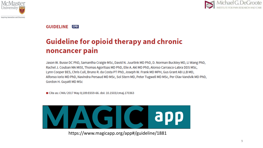



**GUIDELINE CPD** 

#### **Guideline for opioid therapy and chronic** noncancer pain

Jason W. Busse DC PhD, Samantha Craigie MSc, David N. Juurlink MD PhD, D. Norman Buckley MD, Li Wang PhD, Rachel J. Couban MA MISt, Thomas Agoritsas MD PhD, Elie A. Akl MD PhD, Alonso Carrasco-Labra DDS MSc, Lynn Cooper BES, Chris Cull, Bruno R. da Costa PT PhD, Joseph W. Frank MD MPH, Gus Grant AB LLB MD, Alfonso Iorio MD PhD, Navindra Persaud MD MSc, Sol Stern MD, Peter Tugwell MD MSc, Per Olav Vandvik MD PhD, Gordon H. Guyatt MD MSc

■ Cite as: CMAJ 2017 May 8;189:E659-66. doi: 10.1503/cmaj.170363



https://www.magicapp.org/app#/guideline/1881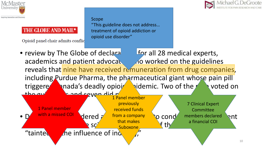

#### THE GLOBE AND MAIL\*

Opioid panel chair admits conflic

#### Scope "This guideline does not address… treatment of opioid addiction or opioid use disorder"



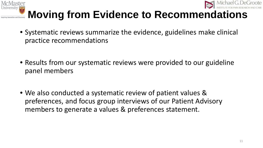



#### **Moving from Evidence to Recommendations**

- Systematic reviews summarize the evidence, guidelines make clinical practice recommendations
- Results from our systematic reviews were provided to our guideline panel members
- We also conducted a systematic review of patient values & preferences, and focus group interviews of our Patient Advisory members to generate a values & preferences statement.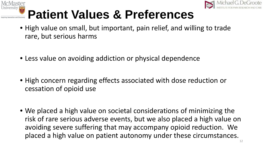



# **Patient Values & Preferences**

- High value on small, but important, pain relief, and willing to trade rare, but serious harms
- Less value on avoiding addiction or physical dependence
- High concern regarding effects associated with dose reduction or cessation of opioid use
- We placed a high value on societal considerations of minimizing the risk of rare serious adverse events, but we also placed a high value on avoiding severe suffering that may accompany opioid reduction. We placed a high value on patient autonomy under these circumstances.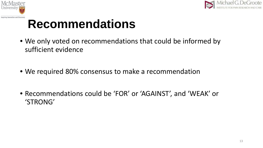



- We only voted on recommendations that could be informed by sufficient evidence
- We required 80% consensus to make a recommendation
- Recommendations could be 'FOR' or 'AGAINST', and 'WEAK' or 'STRONG'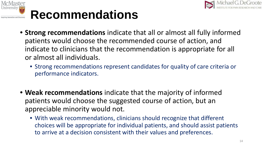



- **Strong recommendations** indicate that all or almost all fully informed patients would choose the recommended course of action, and indicate to clinicians that the recommendation is appropriate for all or almost all individuals.
	- Strong recommendations represent candidates for quality of care criteria or performance indicators.
- **Weak recommendations** indicate that the majority of informed patients would choose the suggested course of action, but an appreciable minority would not.
	- With weak recommendations, clinicians should recognize that different choices will be appropriate for individual patients, and should assist patients to arrive at a decision consistent with their values and preferences.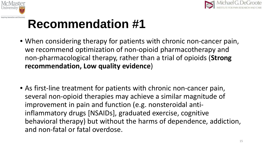



- When considering therapy for patients with chronic non-cancer pain, we recommend optimization of non-opioid pharmacotherapy and non-pharmacological therapy, rather than a trial of opioids (**Strong recommendation, Low quality evidence**)
- As first-line treatment for patients with chronic non-cancer pain, several non-opioid therapies may achieve a similar magnitude of improvement in pain and function (e.g. nonsteroidal antiinflammatory drugs [NSAIDs], graduated exercise, cognitive behavioral therapy) but without the harms of dependence, addiction, and non-fatal or fatal overdose.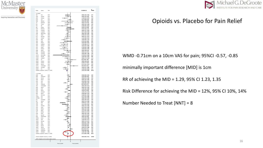





#### Opioids vs. Placebo for Pain Relief

WMD -0.71cm on a 10cm VAS for pain; 95%CI -0.57, -0.85

minimally important difference [MID] is 1cm

RR of achieving the MID = 1.29, 95% CI 1.23, 1.35

Risk Difference for achieving the MID = 12%, 95% CI 10%, 14%

Number Needed to Treat [NNT] = 8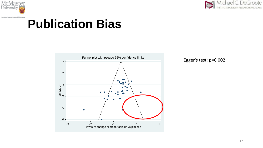



#### **Publication Bias**

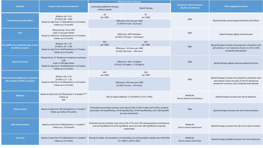|                                                                 |                                                                                                                                | <b>Absolute effect estimates</b>                                                                                                                                                                 |                                                               |                                                               |                                                                                                       |  |
|-----------------------------------------------------------------|--------------------------------------------------------------------------------------------------------------------------------|--------------------------------------------------------------------------------------------------------------------------------------------------------------------------------------------------|---------------------------------------------------------------|---------------------------------------------------------------|-------------------------------------------------------------------------------------------------------|--|
| <b>Outcome</b>                                                  | <b>Study results and measurements</b>                                                                                          | continuing established therapy<br>without opioids                                                                                                                                                | Opioid therapy                                                | <b>Certainty in effect estimates</b><br>(Quality of evidence) | <b>Plain Language Summary</b>                                                                         |  |
| <b>Gastrointestinal side effects</b>                            | Relative risk: 3.24<br>$(CI 95\% 2.69 - 3.89)$                                                                                 | 28<br>per 1000                                                                                                                                                                                   | 91<br>per 1000<br>Difference: 63 more per 1000                | High                                                          | Opioid therapy worsens gastrointestinal side effects                                                  |  |
|                                                                 | Based on data from 17,463 patients in 54 studies<br>Follow up 1-6 months                                                       |                                                                                                                                                                                                  | (CI 95% 47 more - 81 more)                                    |                                                               |                                                                                                       |  |
| Pain                                                            | Measured by: 10 cm VAS<br>Scale: 0-10 Lower better<br>Based on data from 13,876 patients in 27 studies<br>Follow up 3-6 months |                                                                                                                                                                                                  | Difference: MD 0.64 lower<br>(CI 95% 0.76 lower - 0.53 lower) | High                                                          | Opioid therapy slightly improves pain                                                                 |  |
| Pain (difference in patients who achieve<br>the MID or greater) | Relative risk: 1.29<br>(CI 95% 1.24 - 1.34)<br>Based on data from 13,876 patients in 27 studies<br>Follow up 3-6 months        | 424<br>per 1000                                                                                                                                                                                  | 547<br>per 1000                                               | High                                                          | Opioid therapy increases the proportion of patients who                                               |  |
|                                                                 |                                                                                                                                | Difference: 123 more per 1000<br>(CI 95% 102 more - 144 more)                                                                                                                                    |                                                               |                                                               | will achieve a 1 cm reduction of pain on a 10 cm VAS<br>compared with placebo.                        |  |
| <b>Physical function</b>                                        | Measured by: SF-36 physical component summary<br>scale<br>Scale: 0-100 High better                                             | Difference: MD 2.16 higher<br>(CI 95% 1.56 higher - 2.76 higher)                                                                                                                                 |                                                               | High                                                          | Opioid therapy slightly improves physical function                                                    |  |
|                                                                 | Based on data from 12,058 patients in 33 studies<br>Follow up 1-6 months                                                       |                                                                                                                                                                                                  |                                                               |                                                               |                                                                                                       |  |
| <b>Physical function (difference in patients</b>                | Relative risk: 1.24<br>(CI 95% 1.17 - 1.3)<br>Based on data from 12,058 patients in 33 studies<br>Follow up 1-6 months         | 424<br>per 1000                                                                                                                                                                                  | 526<br>per 1000                                               |                                                               | Opioid therapy increases the proportion of patients who                                               |  |
| who achieve the MID or greater)                                 |                                                                                                                                | Difference: 102 more per 1000<br>(CI 95% 72 more - 127 more)                                                                                                                                     |                                                               | High                                                          | will achieve 5 point increase on the SF-36 physical<br>component summary scale compared with placebo. |  |
| <b>Addiction</b>                                                | Based on data from 22,278 patients in 9 studies 86-94<br>Follow up<br>N/A                                                      | Risk of opioid addiction is 5.5% (95% CI 3.91-7.03%)                                                                                                                                             |                                                               | Moderate<br>Due to serious inconsistency                      | Opioid therapy increases the risk of addiction.                                                       |  |
| <b>Fatal overdose</b>                                           | Based on data from 285,520 patients in 1 studies <sup>34</sup><br>Follow up median 30 months                                   | Estimated annual fatal overdose rates were 0.10%, 0.14%, 0.18%, and 0.23% in patients<br>prescribed <20 mg MED/day, 20-49 mg MED/day, 50-99 mg MED/day, and >100 mg MED<br>per day respectively. |                                                               | High                                                          | Opioid therapy increases the risk of fatal overdose.                                                  |  |
| <b>Non-fatal overdose</b>                                       | Based on data from 9,940 patients in 1 studies95<br>Follow up 1-119 months                                                     | Estimated annual overdose rates were 0.2%, 0.7%, and 1.8% among patients receiving less<br>than 20 mg MED/d, 50 to 99 mg MED/d, and more than 100 mg MED/d of opioids,<br>respectively.          |                                                               | Moderate<br>Due to serious imprecision                        | Opioid therapy increases the risk of non-fatal overdose.                                              |  |
| <b>Diversion</b>                                                | Based on data from 472,200 patients in 1 studies <sup>96</sup><br>Follow up 12 months                                          | Among US adults, the prevalence of nonmedical use of prescription opioids was 4.9% (95%<br>CI, 4.58%-5.22%) in 2013.                                                                             |                                                               | Moderate<br>Due to serious risk of bias                       | Opioid therapy probably increases the risk of diversion.                                              |  |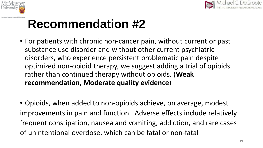



- For patients with chronic non-cancer pain, without current or past substance use disorder and without other current psychiatric disorders, who experience persistent problematic pain despite optimized non-opioid therapy, we suggest adding a trial of opioids rather than continued therapy without opioids. (**Weak recommendation, Moderate quality evidence**)
- Opioids, when added to non-opioids achieve, on average, modest improvements in pain and function. Adverse effects include relatively frequent constipation, nausea and vomiting, addiction, and rare cases of unintentional overdose, which can be fatal or non-fatal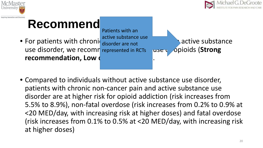



#### **Recommend**

• For patients with chroniq disorder are not active substance use disorder, we recomn represented in RCTs puse popioids (Strong **recommendation, Low of** 

Patients with an active substance use

• Compared to individuals without active substance use disorder, patients with chronic non-cancer pain and active substance use disorder are at higher risk for opioid addiction (risk increases from 5.5% to 8.9%), non-fatal overdose (risk increases from 0.2% to 0.9% at <20 MED/day, with increasing risk at higher doses) and fatal overdose (risk increases from 0.1% to 0.5% at <20 MED/day, with increasing risk at higher doses)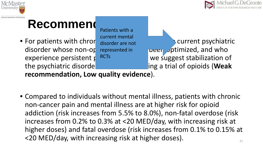



#### **Recommend**

Patients with a current mental disorder are not represented in **RCT<sub>s</sub>** 

• For patients with chron  $\frac{c}{\text{disorder are not}}$  current psychiatric disorder whose non-op represented in **provident units** ptimized, and who experience persistent  $p^R$ <sup>RCTs</sup> we suggest stabilization of the psychiatric disorde**rom and a trial of opioids (Weak** a trial of opioids (Weak

**recommendation, Low quality evidence**).

• Compared to individuals without mental illness, patients with chronic non-cancer pain and mental illness are at higher risk for opioid addiction (risk increases from 5.5% to 8.0%), non-fatal overdose (risk increases from 0.2% to 0.3% at <20 MED/day, with increasing risk at higher doses) and fatal overdose (risk increases from 0.1% to 0.15% at  $<$  20 MED/day, with increasing risk at higher doses).  $21$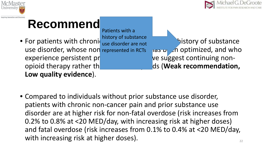



#### **Recommend**

• For patients with chronic  $\frac{1}{100}$  of  $\frac{1}{100}$  of substance use disorder, whose non represented in RCTs and proprimized, and who experience persistent problematic painting ve suggest continuing nonopioid therapy rather the a trial opioid therapy rather the second of opioids (**Weak recommendation**, **Low quality evidence**). history of substance use disorder are not

• Compared to individuals without prior substance use disorder, patients with chronic non-cancer pain and prior substance use disorder are at higher risk for non-fatal overdose (risk increases from 0.2% to 0.8% at <20 MED/day, with increasing risk at higher doses) and fatal overdose (risk increases from 0.1% to 0.4% at <20 MED/day, with increasing risk at higher doses).  $22$ 

Patients with a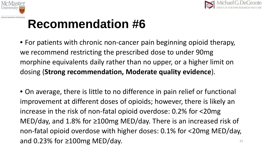



- For patients with chronic non-cancer pain beginning opioid therapy, we recommend restricting the prescribed dose to under 90mg morphine equivalents daily rather than no upper, or a higher limit on dosing (**Strong recommendation, Moderate quality evidence**).
- On average, there is little to no difference in pain relief or functional improvement at different doses of opioids; however, there is likely an increase in the risk of non-fatal opioid overdose: 0.2% for <20mg MED/day, and 1.8% for ≥100mg MED/day. There is an increased risk of non-fatal opioid overdose with higher doses: 0.1% for <20mg MED/day, and 0.23% for  $\geq$ 100mg MED/day.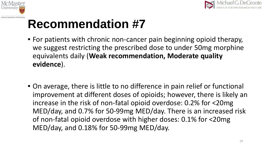



- For patients with chronic non-cancer pain beginning opioid therapy, we suggest restricting the prescribed dose to under 50mg morphine equivalents daily (**Weak recommendation, Moderate quality evidence**).
- On average, there is little to no difference in pain relief or functional improvement at different doses of opioids; however, there is likely an increase in the risk of non-fatal opioid overdose: 0.2% for <20mg MED/day, and 0.7% for 50-99mg MED/day. There is an increased risk of non-fatal opioid overdose with higher doses: 0.1% for <20mg MED/day, and 0.18% for 50-99mg MED/day.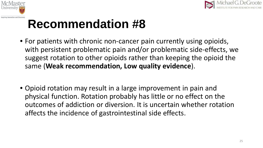



- For patients with chronic non-cancer pain currently using opioids, with persistent problematic pain and/or problematic side-effects, we suggest rotation to other opioids rather than keeping the opioid the same (**Weak recommendation, Low quality evidence**).
- Opioid rotation may result in a large improvement in pain and physical function. Rotation probably has little or no effect on the outcomes of addiction or diversion. It is uncertain whether rotation affects the incidence of gastrointestinal side effects.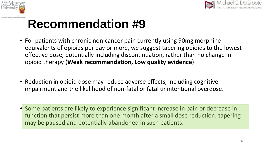



- For patients with chronic non-cancer pain currently using 90mg morphine equivalents of opioids per day or more, we suggest tapering opioids to the lowest effective dose, potentially including discontinuation, rather than no change in opioid therapy (**Weak recommendation, Low quality evidence**).
- Reduction in opioid dose may reduce adverse effects, including cognitive impairment and the likelihood of non-fatal or fatal unintentional overdose.
- Some patients are likely to experience significant increase in pain or decrease in function that persist more than one month after a small dose reduction; tapering may be paused and potentially abandoned in such patients.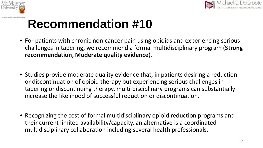



- For patients with chronic non-cancer pain using opioids and experiencing serious challenges in tapering, we recommend a formal multidisciplinary program (**Strong recommendation, Moderate quality evidence**).
- Studies provide moderate quality evidence that, in patients desiring a reduction or discontinuation of opioid therapy but experiencing serious challenges in tapering or discontinuing therapy, multi-disciplinary programs can substantially increase the likelihood of successful reduction or discontinuation.
- Recognizing the cost of formal multidisciplinary opioid reduction programs and their current limited availability/capacity, an alternative is a coordinated multidisciplinary collaboration including several health professionals.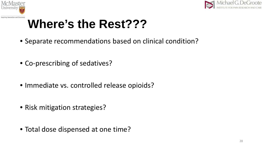



### **Where's the Rest???**

- Separate recommendations based on clinical condition?
- Co-prescribing of sedatives?
- Immediate vs. controlled release opioids?
- Risk mitigation strategies?
- Total dose dispensed at one time?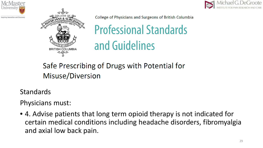



College of Physicians and Surgeons of British Columbia

**Professional Standards** and Guidelines

Safe Prescribing of Drugs with Potential for Misuse/Diversion

**Standards** 

Physicians must:

• 4. Advise patients that long term opioid therapy is not indicated for certain medical conditions including headache disorders, fibromyalgia and axial low back pain.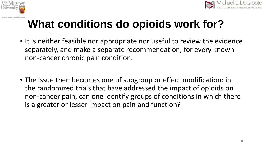



### **What conditions do opioids work for?**

- It is neither feasible nor appropriate nor useful to review the evidence separately, and make a separate recommendation, for every known non-cancer chronic pain condition.
- The issue then becomes one of subgroup or effect modification: in the randomized trials that have addressed the impact of opioids on non-cancer pain, can one identify groups of conditions in which there is a greater or lesser impact on pain and function?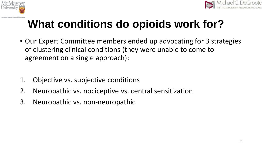



### **What conditions do opioids work for?**

- Our Expert Committee members ended up advocating for 3 strategies of clustering clinical conditions (they were unable to come to agreement on a single approach):
- 1. Objective vs. subjective conditions
- 2. Neuropathic vs. nociceptive vs. central sensitization
- 3. Neuropathic vs. non-neuropathic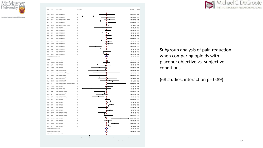



Michael G. DeGroote INSTITUTE FOR PAIN RESEARCH AND CARE

Subgroup analysis of pain reduction when comparing opioids with placebo: objective vs. subjective conditions

(68 studies, interaction p= 0.89)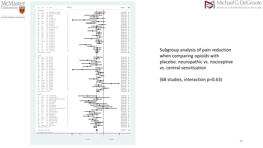





Subgroup analysis of pain reduction when comparing opioids with placebo: neuropathic vs. nociceptive vs. central sensitization

(68 studies, interaction p=0.63)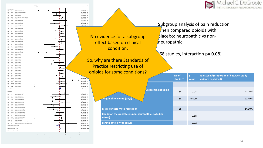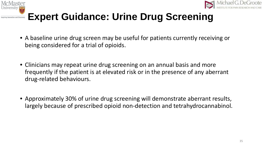



#### **Expert Guidance: Urine Drug Screening**

- A baseline urine drug screen may be useful for patients currently receiving or being considered for a trial of opioids.
- Clinicians may repeat urine drug screening on an annual basis and more frequently if the patient is at elevated risk or in the presence of any aberrant drug-related behaviours.
- Approximately 30% of urine drug screening will demonstrate aberrant results, largely because of prescribed opioid non-detection and tetrahydrocannabinol.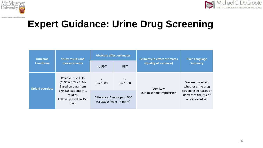



#### **Expert Guidance: Urine Drug Screening**

| <b>Outcome</b>         | <b>Study results and</b>                                          | <b>Absolute effect estimates</b>                         |               | <b>Certainty in effect estimates</b>   | <b>Plain Language</b>                                                                                        |
|------------------------|-------------------------------------------------------------------|----------------------------------------------------------|---------------|----------------------------------------|--------------------------------------------------------------------------------------------------------------|
| <b>Timeframe</b>       | measurements                                                      | <b>UDT</b><br>no UDT                                     |               | (Quality of evidence)                  | <b>Summary</b>                                                                                               |
| <b>Opioid overdose</b> | Relative risk: 1.36<br>(CI 95% 0.79 - 2.34)<br>Based on data from | $\overline{2}$<br>per 1000                               | 3<br>per 1000 | Very Low<br>Due to serious imprecision | We are uncertain<br>whether urine drug<br>screening increases or<br>decreases the risk of<br>opioid overdose |
|                        | 179,385 patients in 1<br>studies<br>Follow up median 159<br>days  | Difference: 1 more per 1000<br>(CI 95% 0 fewer - 3 more) |               |                                        |                                                                                                              |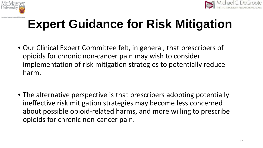



## **Expert Guidance for Risk Mitigation**

- Our Clinical Expert Committee felt, in general, that prescribers of opioids for chronic non-cancer pain may wish to consider implementation of risk mitigation strategies to potentially reduce harm.
- The alternative perspective is that prescribers adopting potentially ineffective risk mitigation strategies may become less concerned about possible opioid-related harms, and more willing to prescribe opioids for chronic non-cancer pain.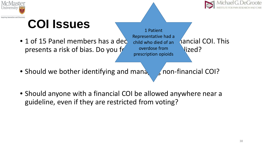



## **COI Issues**

 $\bullet$  1 of 15 Panel members has a decembrical financial financial COI. This presents a risk of bias. Do you  $f$  overdose from  $Nized$ ?

1 Patient Representative had a child who died of an overdose from prescription opioids

- Should we bother identifying and mana should non-financial COI?
- Should anyone with a financial COI be allowed anywhere near a guideline, even if they are restricted from voting?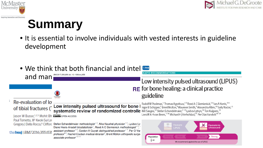



#### **Summary**

• It is essential to involve individuals with vested interests in guideline development

| and man                                                                                                                                                                                                         | • We think that both financial and intel<br>BMJ 2017;356:j656 doi: 10.1136/bmj.j656                                                                                                                                                                                                                                                                                                                                                                                    | <b>RAPID RECOMMENDATIONS</b>                                                                                                                                                                                                                                                                                |  |  |
|-----------------------------------------------------------------------------------------------------------------------------------------------------------------------------------------------------------------|------------------------------------------------------------------------------------------------------------------------------------------------------------------------------------------------------------------------------------------------------------------------------------------------------------------------------------------------------------------------------------------------------------------------------------------------------------------------|-------------------------------------------------------------------------------------------------------------------------------------------------------------------------------------------------------------------------------------------------------------------------------------------------------------|--|--|
|                                                                                                                                                                                                                 |                                                                                                                                                                                                                                                                                                                                                                                                                                                                        | Low intensity pulsed ultrasound (LIPUS)                                                                                                                                                                                                                                                                     |  |  |
|                                                                                                                                                                                                                 |                                                                                                                                                                                                                                                                                                                                                                                                                                                                        | <b>RE</b> for bone healing: a clinical practice<br>guideline                                                                                                                                                                                                                                                |  |  |
| Re-evaluation of lo<br>Jason W Busse, <sup>1,2,3</sup> Mohit Bh @ 000 open Access<br>Paul Tornetta, III <sup>5</sup> Kwok-Sui Le<br>Gregory J Della Rocca, <sup>9</sup> Clifford<br>the bmj   BMJ 2016;355:i539 |                                                                                                                                                                                                                                                                                                                                                                                                                                                                        | Rudolf W Poolman, <sup>1</sup> Thomas Agoritsas, <sup>2,3</sup> Reed A CSiemieniuk, <sup>2,4</sup> lan A Harris, <sup>5,6</sup><br><b>Of tibial fractures (EDW intensity pulsed ultrasound for bone I</b> Inger B Schipper, <sup>7</sup> Brent Mollon, <sup>8</sup> Maureen Smith, <sup>9</sup> Alexandra A |  |  |
|                                                                                                                                                                                                                 | Stefan Schandelmaier methodologist <sup>12</sup> , Alka Kaushal physician <sup>13</sup> , Lyubov Ly<br>Diane Heels-Ansdell biostatistician <sup>1</sup> , Reed A C Siemieniuk methodologist <sup>15</sup> ,<br>assistant professor <sup>16</sup> , Gordon H Guyatt distinguished professor <sup>17</sup> , Per O Var<br>professor <sup>89</sup> , Rachel Couban medical librarian <sup>3</sup> , Brent Mollon orthopedic surged<br>associate professor <sup>1311</sup> | Favours<br>Favours nc<br>S.<br><b>LIPUS</b><br>ultrasound<br>Population<br><b>Strong</b><br>ë All<br>We recommend against the use of LIPUS                                                                                                                                                                  |  |  |